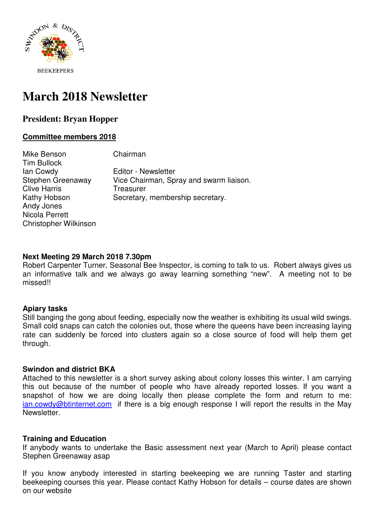

# **March 2018 Newsletter**

# **President: Bryan Hopper**

## **Committee members 2018**

Mike Benson Chairman Tim Bullock Ian Cowdy Editor - Newsletter Stephen Greenaway Vice Chairman, Spray and swarm liaison. Clive Harris **Treasurer** Kathy Hobson Secretary, membership secretary. Andy Jones Nicola Perrett Christopher Wilkinson

#### **Next Meeting 29 March 2018 7.30pm**

Robert Carpenter Turner, Seasonal Bee Inspector, is coming to talk to us. Robert always gives us an informative talk and we always go away learning something "new". A meeting not to be missed!!

#### **Apiary tasks**

Still banging the gong about feeding, especially now the weather is exhibiting its usual wild swings. Small cold snaps can catch the colonies out, those where the queens have been increasing laying rate can suddenly be forced into clusters again so a close source of food will help them get through.

#### **Swindon and district BKA**

Attached to this newsletter is a short survey asking about colony losses this winter. I am carrying this out because of the number of people who have already reported losses. If you want a snapshot of how we are doing locally then please complete the form and return to me: ian.cowdy@btinternet.com if there is a big enough response I will report the results in the May Newsletter.

# **Training and Education**

If anybody wants to undertake the Basic assessment next year (March to April) please contact Stephen Greenaway asap

If you know anybody interested in starting beekeeping we are running Taster and starting beekeeping courses this year. Please contact Kathy Hobson for details – course dates are shown on our website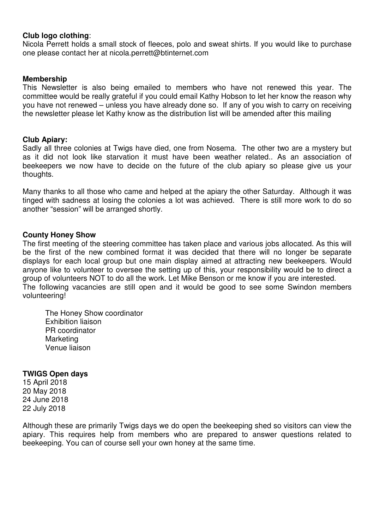#### **Club logo clothing**:

Nicola Perrett holds a small stock of fleeces, polo and sweat shirts. If you would like to purchase one please contact her at nicola.perrett@btinternet.com

#### **Membership**

This Newsletter is also being emailed to members who have not renewed this year. The committee would be really grateful if you could email Kathy Hobson to let her know the reason why you have not renewed – unless you have already done so. If any of you wish to carry on receiving the newsletter please let Kathy know as the distribution list will be amended after this mailing

#### **Club Apiary:**

Sadly all three colonies at Twigs have died, one from Nosema. The other two are a mystery but as it did not look like starvation it must have been weather related.. As an association of beekeepers we now have to decide on the future of the club apiary so please give us your thoughts.

Many thanks to all those who came and helped at the apiary the other Saturday. Although it was tinged with sadness at losing the colonies a lot was achieved. There is still more work to do so another "session" will be arranged shortly.

#### **County Honey Show**

The first meeting of the steering committee has taken place and various jobs allocated. As this will be the first of the new combined format it was decided that there will no longer be separate displays for each local group but one main display aimed at attracting new beekeepers. Would anyone like to volunteer to oversee the setting up of this, your responsibility would be to direct a group of volunteers NOT to do all the work. Let Mike Benson or me know if you are interested. The following vacancies are still open and it would be good to see some Swindon members volunteering!

The Honey Show coordinator Exhibition liaison PR coordinator **Marketing** Venue liaison

#### **TWIGS Open days**

15 April 2018 20 May 2018 24 June 2018 22 July 2018

Although these are primarily Twigs days we do open the beekeeping shed so visitors can view the apiary. This requires help from members who are prepared to answer questions related to beekeeping. You can of course sell your own honey at the same time.